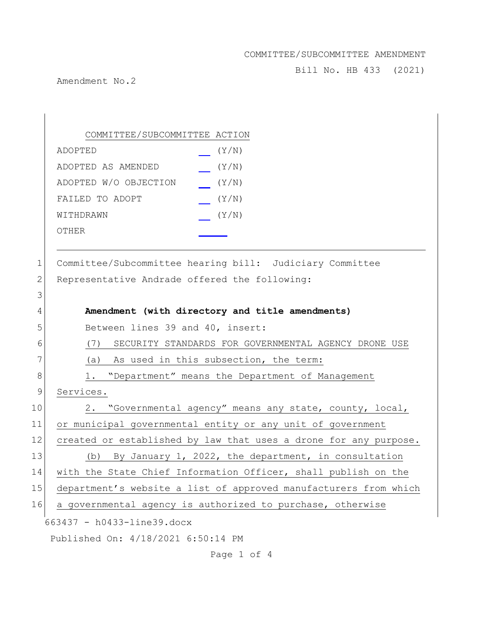Bill No. HB 433 (2021)

Amendment No.2

|              | COMMITTEE/SUBCOMMITTEE ACTION                                    |
|--------------|------------------------------------------------------------------|
|              | (Y/N)<br>ADOPTED                                                 |
|              | (Y/N)<br>ADOPTED AS AMENDED                                      |
|              | ADOPTED W/O OBJECTION<br>(Y/N)                                   |
|              | FAILED TO ADOPT<br>(Y/N)                                         |
|              | (Y/N)<br>WITHDRAWN                                               |
|              | OTHER                                                            |
|              |                                                                  |
| $\mathbf 1$  | Committee/Subcommittee hearing bill: Judiciary Committee         |
| $\mathbf{2}$ | Representative Andrade offered the following:                    |
| 3            |                                                                  |
| 4            | Amendment (with directory and title amendments)                  |
| 5            | Between lines 39 and 40, insert:                                 |
| 6            | (7) SECURITY STANDARDS FOR GOVERNMENTAL AGENCY DRONE USE         |
| 7            | As used in this subsection, the term:<br>(a)                     |
| 8            | "Department" means the Department of Management<br>1.            |
| $\mathsf 9$  | Services.                                                        |
| 10           | 2. "Governmental agency" means any state, county, local,         |
| 11           | or municipal governmental entity or any unit of government       |
| 12           | created or established by law that uses a drone for any purpose. |
| 13           | (b) By January 1, 2022, the department, in consultation          |
| 14           | with the State Chief Information Officer, shall publish on the   |
| 15           | department's website a list of approved manufacturers from which |
| 16           | a governmental agency is authorized to purchase, otherwise       |
|              | 663437 - h0433-line39.docx                                       |
|              | Published On: 4/18/2021 6:50:14 PM                               |

Page 1 of 4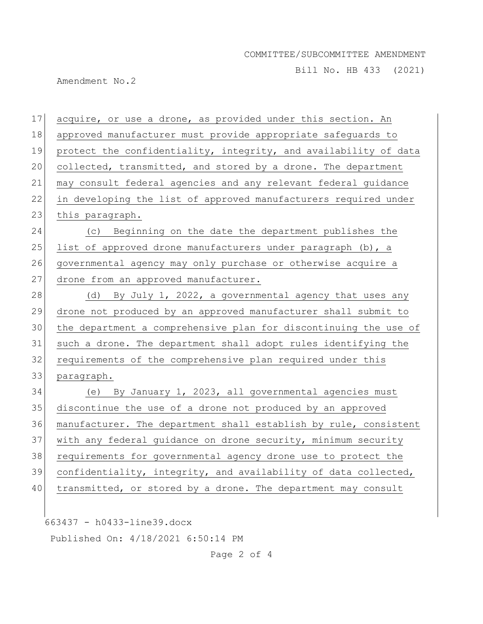Bill No. HB 433 (2021)

Amendment No.2

 acquire, or use a drone, as provided under this section. An approved manufacturer must provide appropriate safeguards to 19 protect the confidentiality, integrity, and availability of data collected, transmitted, and stored by a drone. The department may consult federal agencies and any relevant federal guidance in developing the list of approved manufacturers required under 23 this paragraph. (c) Beginning on the date the department publishes the 25 list of approved drone manufacturers under paragraph  $(b)$ , a 26 governmental agency may only purchase or otherwise acquire a 27 drone from an approved manufacturer. 28 (d) By July 1, 2022, a governmental agency that uses any drone not produced by an approved manufacturer shall submit to the department a comprehensive plan for discontinuing the use of such a drone. The department shall adopt rules identifying the requirements of the comprehensive plan required under this paragraph. (e) By January 1, 2023, all governmental agencies must discontinue the use of a drone not produced by an approved manufacturer. The department shall establish by rule, consistent with any federal guidance on drone security, minimum security requirements for governmental agency drone use to protect the confidentiality, integrity, and availability of data collected, 40 | transmitted, or stored by a drone. The department may consult

663437 - h0433-line39.docx

Published On: 4/18/2021 6:50:14 PM

Page 2 of 4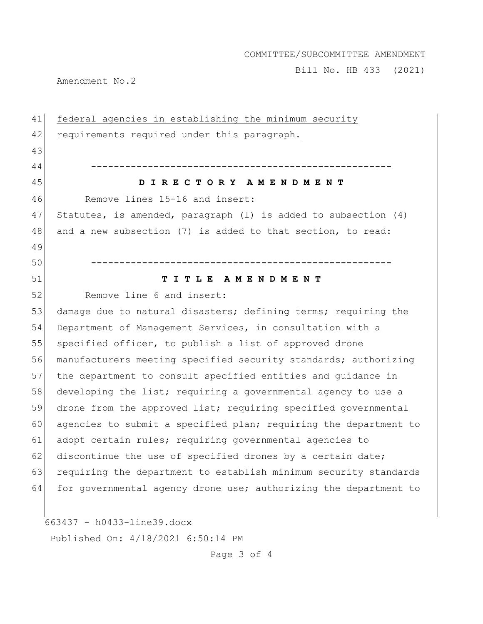Bill No. HB 433 (2021)

Amendment No.2

| 41 | federal agencies in establishing the minimum security            |
|----|------------------------------------------------------------------|
| 42 | requirements required under this paragraph.                      |
| 43 |                                                                  |
| 44 |                                                                  |
| 45 | DIRECTORY AMENDMENT                                              |
| 46 | Remove lines 15-16 and insert:                                   |
| 47 | Statutes, is amended, paragraph (1) is added to subsection (4)   |
| 48 | and a new subsection (7) is added to that section, to read:      |
| 49 |                                                                  |
| 50 |                                                                  |
| 51 | TITLE AMENDMENT                                                  |
| 52 | Remove line 6 and insert:                                        |
| 53 | damage due to natural disasters; defining terms; requiring the   |
| 54 | Department of Management Services, in consultation with a        |
| 55 | specified officer, to publish a list of approved drone           |
| 56 | manufacturers meeting specified security standards; authorizing  |
| 57 | the department to consult specified entities and guidance in     |
| 58 | developing the list; requiring a governmental agency to use a    |
| 59 | drone from the approved list; requiring specified governmental   |
| 60 | agencies to submit a specified plan; requiring the department to |
| 61 | adopt certain rules; requiring governmental agencies to          |
| 62 | discontinue the use of specified drones by a certain date;       |
| 63 | requiring the department to establish minimum security standards |
| 64 | for governmental agency drone use; authorizing the department to |
|    |                                                                  |
|    | 663437 - h0433-line39.docx                                       |

Published On: 4/18/2021 6:50:14 PM

Page 3 of 4